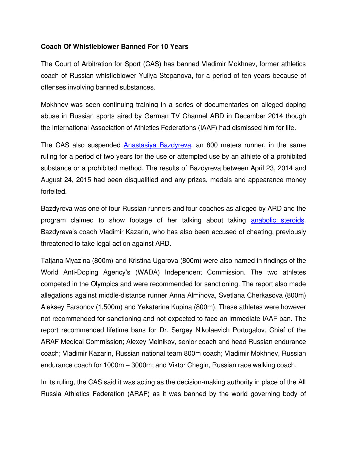## **Coach Of Whistleblower Banned For 10 Years**

The Court of Arbitration for Sport (CAS) has banned Vladimir Mokhnev, former athletics coach of Russian whistleblower Yuliya Stepanova, for a period of ten years because of offenses involving banned substances.

Mokhnev was seen continuing training in a series of documentaries on alleged doping abuse in Russian sports aired by German TV Channel ARD in December 2014 though the International Association of Athletics Federations (IAAF) had dismissed him for life.

The CAS also suspended Anastasiya Bazdyreva, an 800 meters runner, in the same ruling for a period of two years for the use or attempted use by an athlete of a prohibited substance or a prohibited method. The results of Bazdyreva between April 23, 2014 and August 24, 2015 had been disqualified and any prizes, medals and appearance money forfeited.

Bazdyreva was one of four Russian runners and four coaches as alleged by ARD and the program claimed to show footage of her talking about taking  [anabolic steroids.](http://www.isteroids.com/) Bazdyreva's coach Vladimir Kazarin, who has also been accused of cheating, previously threatened to take legal action against ARD.

Tatjana Myazina (800m) and Kristina Ugarova (800m) were also named in findings of the World Anti-Doping Agency's (WADA) Independent Commission. The two athletes competed in the Olympics and were recommended for sanctioning. The report also made allegations against middle-distance runner Anna Alminova, Svetlana Cherkasova (800m) Aleksey Farsonov (1,500m) and Yekaterina Kupina (800m). These athletes were however not recommended for sanctioning and not expected to face an immediate IAAF ban. The report recommended lifetime bans for Dr. Sergey Nikolaevich Portugalov, Chief of the ARAF Medical Commission; Alexey Melnikov, senior coach and head Russian endurance coach; Vladimir Kazarin, Russian national team 800m coach; Vladimir Mokhnev, Russian endurance coach for 1000m – 3000m; and Viktor Chegin, Russian race walking coach.

In its ruling, the CAS said it was acting as the decision-making authority in place of the All Russia Athletics Federation (ARAF) as it was banned by the world governing body of